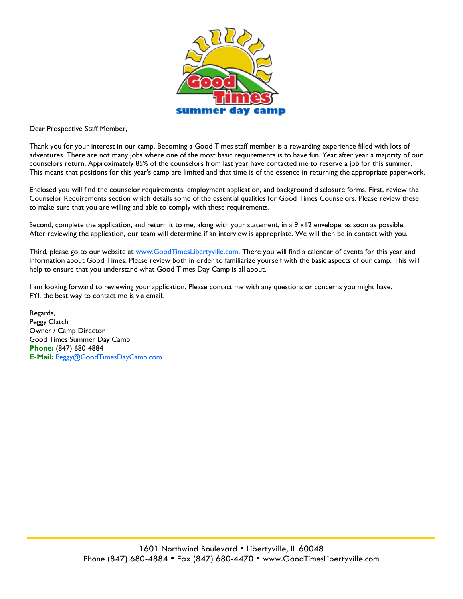

Dear Prospective Staff Member,

Thank you for your interest in our camp. Becoming a Good Times staff member is a rewarding experience filled with lots of adventures. There are not many jobs where one of the most basic requirements is to have fun. Year after year a majority of our counselors return. Approximately 85% of the counselors from last year have contacted me to reserve a job for this summer. This means that positions for this year's camp are limited and that time is of the essence in returning the appropriate paperwork.

Enclosed you will find the counselor requirements, employment application, and background disclosure forms. First, review the Counselor Requirements section which details some of the essential qualities for Good Times Counselors. Please review these to make sure that you are willing and able to comply with these requirements.

Second, complete the application, and return it to me, along with your statement, in a  $9 \times 12$  envelope, as soon as possible. After reviewing the application, our team will determine if an interview is appropriate. We will then be in contact with you.

Third, please go to our website at [www.GoodTimesLibertyville.com.](http://www.GoodTimesLibertyville.com) There you will find a calendar of events for this year and information about Good Times. Please review both in order to familiarize yourself with the basic aspects of our camp. This will help to ensure that you understand what Good Times Day Camp is all about.

I am looking forward to reviewing your application. Please contact me with any questions or concerns you might have. FYI, the best way to contact me is via email.

Regards, Peggy Clatch Owner / Camp Director Good Times Summer Day Camp **Phone:** (847) 680-4884 **E-Mail:** [Peggy@GoodTimesDayCamp.com](mailto:Peggy@GoodTimesDayCamp.com)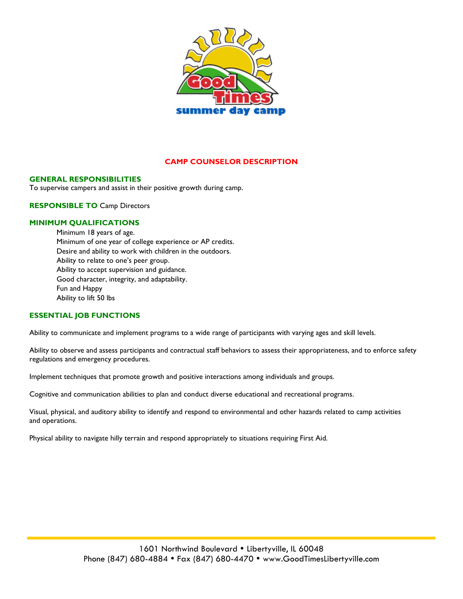

### **CAMP COUNSELOR DESCRIPTION**

#### **GENERAL RESPONSIBILITIES**

To supervise campers and assist in their positive growth during camp.

**RESPONSIBLE TO** Camp Directors

#### **MINIMUM QUALIFICATIONS**

Minimum 18 years of age. Minimum of one year of college experience or AP credits. Desire and ability to work with children in the outdoors. Ability to relate to one's peer group. Ability to accept supervision and guidance. Good character, integrity, and adaptability. Fun and Happy Ability to lift 50 lbs

#### **ESSENTIAL JOB FUNCTIONS**

Ability to communicate and implement programs to a wide range of participants with varying ages and skill levels.

Ability to observe and assess participants and contractual staff behaviors to assess their appropriateness, and to enforce safety regulations and emergency procedures.

Implement techniques that promote growth and positive interactions among individuals and groups.

Cognitive and communication abilities to plan and conduct diverse educational and recreational programs.

Visual, physical, and auditory ability to identify and respond to environmental and other hazards related to camp activities and operations.

Physical ability to navigate hilly terrain and respond appropriately to situations requiring First Aid.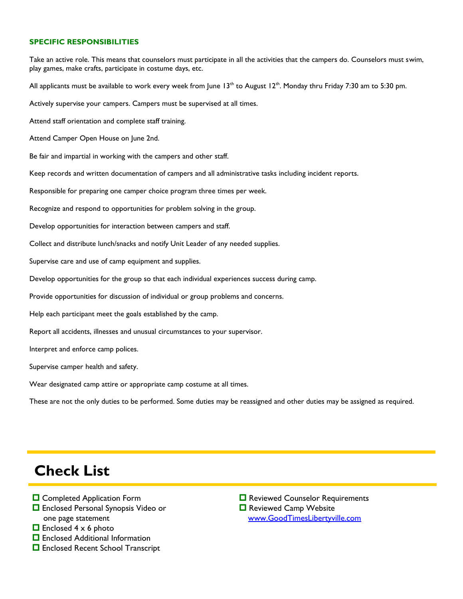#### **SPECIFIC RESPONSIBILITIES**

Take an active role. This means that counselors must participate in all the activities that the campers do. Counselors must swim, play games, make crafts, participate in costume days, etc. All applicants must be available to work every week from June  $13<sup>th</sup>$  to August  $12<sup>th</sup>$ . Monday thru Friday 7:30 am to 5:30 pm. Actively supervise your campers. Campers must be supervised at all times. Attend staff orientation and complete staff training. Attend Camper Open House on June 2nd. Be fair and impartial in working with the campers and other staff. Keep records and written documentation of campers and all administrative tasks including incident reports. Responsible for preparing one camper choice program three times per week. Recognize and respond to opportunities for problem solving in the group. Develop opportunities for interaction between campers and staff. Collect and distribute lunch/snacks and notify Unit Leader of any needed supplies. Supervise care and use of camp equipment and supplies. Develop opportunities for the group so that each individual experiences success during camp. Provide opportunities for discussion of individual or group problems and concerns. Help each participant meet the goals established by the camp. Report all accidents, illnesses and unusual circumstances to your supervisor. Interpret and enforce camp polices. Supervise camper health and safety. Wear designated camp attire or appropriate camp costume at all times. These are not the only duties to be performed. Some duties may be reassigned and other duties may be assigned as required.

## **Check List**

- **□** Completed Application Form
- Enclosed Personal Synopsis Video or one page statement
- $\Box$  Enclosed 4 x 6 photo
- $\Box$  Enclosed Additional Information
- □ Enclosed Recent School Transcript

**□** Reviewed Counselor Requirements **□** Reviewed Camp Website www.GoodTimesLibertyville.com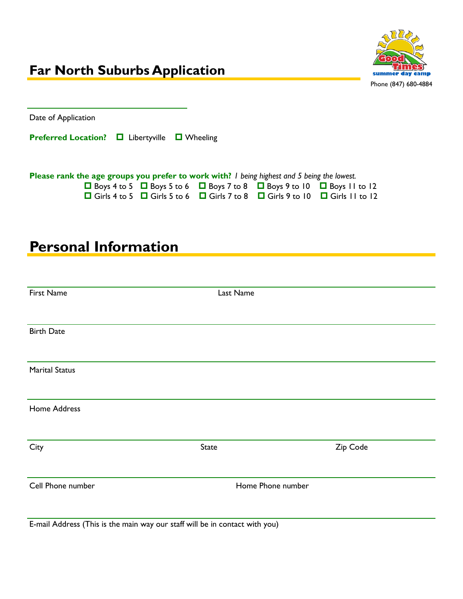

# **Personal Information**

| First Name            | Last Name         |          |
|-----------------------|-------------------|----------|
| <b>Birth Date</b>     |                   |          |
| <b>Marital Status</b> |                   |          |
| Home Address          |                   |          |
| City                  | <b>State</b>      | Zip Code |
| Cell Phone number     | Home Phone number |          |

E-mail Address (This is the main way our staff will be in contact with you)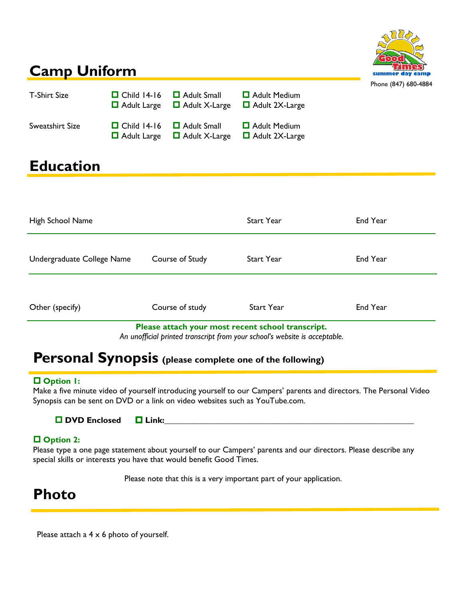

# **Camp Uniform**

| <b>T-Shirt Size</b> | $\Box$ Child 14-16 $\Box$ Adult Small | $\Box$ Adult Large $\Box$ Adult X-Large | $\Box$ Adult Medium<br>$\Box$ Adult 2X-Large | 1110110101111001 |
|---------------------|---------------------------------------|-----------------------------------------|----------------------------------------------|------------------|
| Sweatshirt Size     | $\Box$ Child 14-16 $\Box$ Adult Small | $\Box$ Adult Large $\Box$ Adult X-Large | $\Box$ Adult Medium<br>$\Box$ Adult 2X-Large |                  |

# **Education**

| High School Name                                                                                                                |                 | <b>Start Year</b> | End Year |
|---------------------------------------------------------------------------------------------------------------------------------|-----------------|-------------------|----------|
| Undergraduate College Name                                                                                                      | Course of Study | <b>Start Year</b> | End Year |
| Other (specify)                                                                                                                 | Course of study | <b>Start Year</b> | End Year |
| Please attach your most recent school transcript.<br>An unofficial printed transcript from your school's website is acceptable. |                 |                   |          |

## **Personal Synopsis (please complete one of the following)**

### **Option 1:**

Make a five minute video of yourself introducing yourself to our Campers' parents and directors. The Personal Video Synopsis can be sent on DVD or a link on video websites such as YouTube.com.

| <b>O</b> DVD Enclosed | $\blacksquare$ Link: |  |
|-----------------------|----------------------|--|
|-----------------------|----------------------|--|

### **Option 2:**

Please type a one page statement about yourself to our Campers' parents and our directors. Please describe any special skills or interests you have that would benefit Good Times.

Please note that this is a very important part of your application.

## **Photo**

Please attach a  $4 \times 6$  photo of yourself.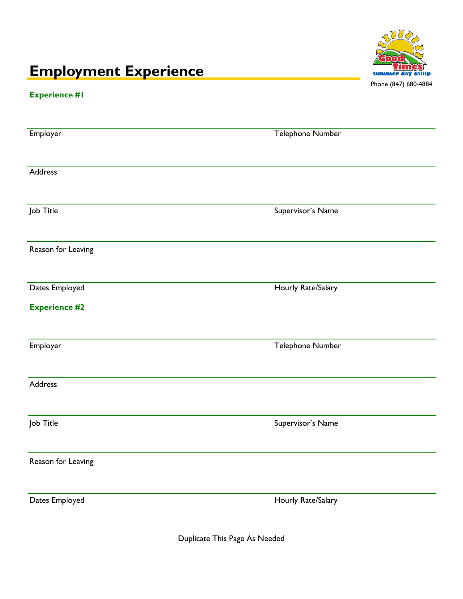# **Employment Experience**



### **Experience #1**

| Employer             | Telephone Number   |
|----------------------|--------------------|
|                      |                    |
| Address              |                    |
|                      |                    |
|                      |                    |
| Job Title            | Supervisor's Name  |
|                      |                    |
| Reason for Leaving   |                    |
|                      |                    |
| Dates Employed       | Hourly Rate/Salary |
|                      |                    |
| <b>Experience #2</b> |                    |
|                      |                    |
| Employer             | Telephone Number   |
|                      |                    |
| Address              |                    |
|                      |                    |
|                      |                    |
| Job Title            | Supervisor's Name  |
|                      |                    |
| Reason for Leaving   |                    |
|                      |                    |
| Dates Employed       | Hourly Rate/Salary |
|                      |                    |
|                      |                    |

Duplicate This Page As Needed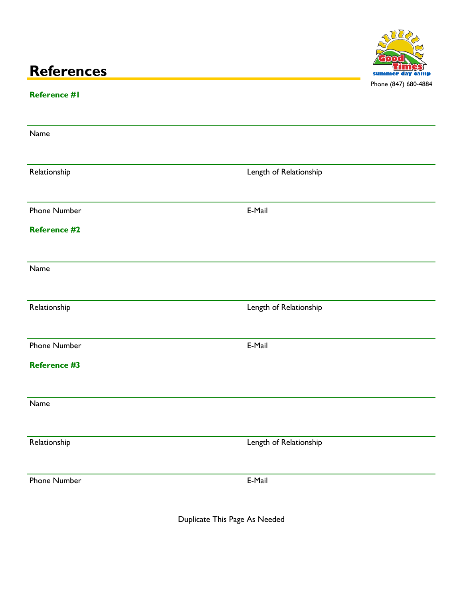# **References**



### **Reference #1**

| Name                |                        |
|---------------------|------------------------|
| Relationship        | Length of Relationship |
| Phone Number        | E-Mail                 |
| <b>Reference #2</b> |                        |
| Name                |                        |
| Relationship        | Length of Relationship |
| Phone Number        | E-Mail                 |
| <b>Reference #3</b> |                        |
| Name                |                        |
| Relationship        | Length of Relationship |
| Phone Number        | E-Mail                 |
|                     |                        |

Duplicate This Page As Needed